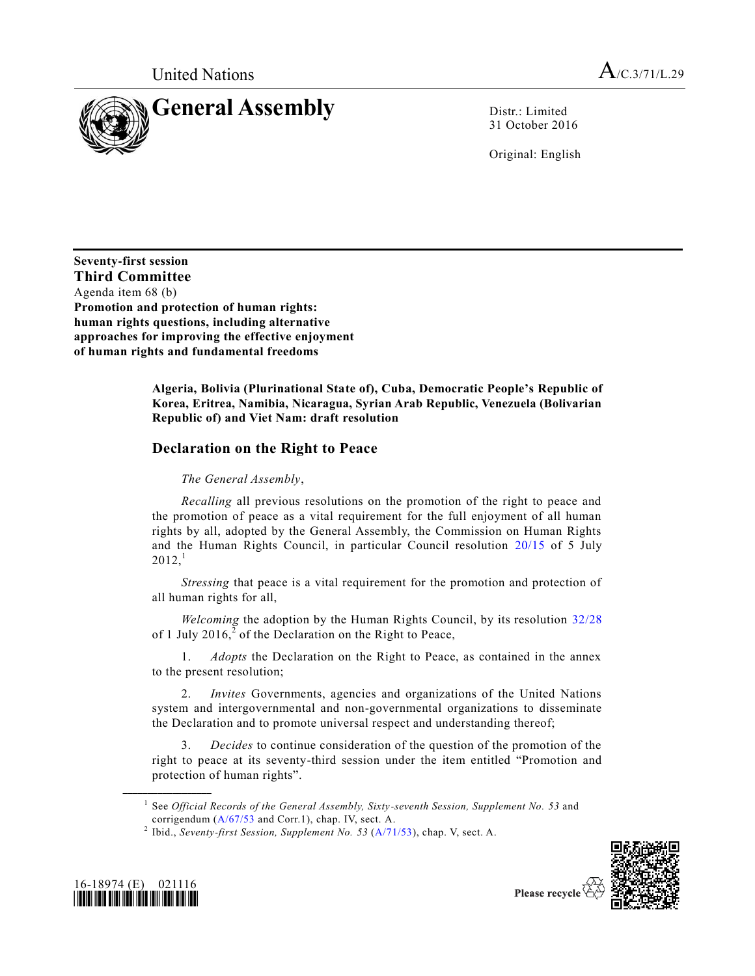

31 October 2016

Original: English

**Seventy-first session Third Committee** Agenda item 68 (b) **Promotion and protection of human rights: human rights questions, including alternative approaches for improving the effective enjoyment of human rights and fundamental freedoms**

> **Algeria, Bolivia (Plurinational State of), Cuba, Democratic People's Republic of Korea, Eritrea, Namibia, Nicaragua, Syrian Arab Republic, Venezuela (Bolivarian Republic of) and Viet Nam: draft resolution**

# **Declaration on the Right to Peace**

*The General Assembly*,

*Recalling* all previous resolutions on the promotion of the right to peace and the promotion of peace as a vital requirement for the full enjoyment of all human rights by all, adopted by the General Assembly, the Commission on Human Rights and the Human Rights Council, in particular Council resolution [20/15](http://undocs.org/A/RES/20/15) of 5 July  $2012<sup>1</sup>$ 

*Stressing* that peace is a vital requirement for the promotion and protection of all human rights for all,

*Welcoming* the adoption by the Human Rights Council, by its resolution [32/28](http://undocs.org/A/RES/32/28) of 1 July 2016, $\frac{2}{3}$  of the Declaration on the Right to Peace,

1. *Adopts* the Declaration on the Right to Peace, as contained in the annex to the present resolution;

2. *Invites* Governments, agencies and organizations of the United Nations system and intergovernmental and non-governmental organizations to disseminate the Declaration and to promote universal respect and understanding thereof;

3. *Decides* to continue consideration of the question of the promotion of the right to peace at its seventy-third session under the item entitled "Promotion and protection of human rights".





<sup>1</sup> See *Official Records of the General Assembly, Sixty-seventh Session, Supplement No. 53* and corrigendum [\(A/67/53](http://undocs.org/A/67/53) and Corr.1), chap. IV, sect. A.

<sup>2</sup> Ibid., *Seventy-first Session, Supplement No. 53* [\(A/71/53\)](http://undocs.org/A/71/53), chap. V, sect. A.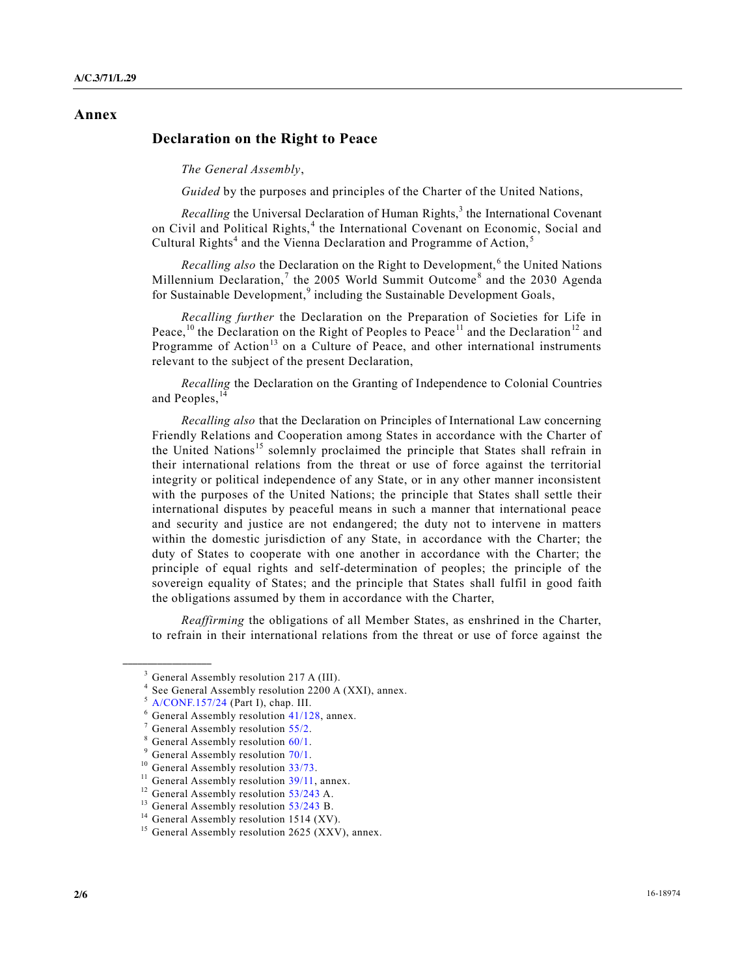### **Annex**

## **Declaration on the Right to Peace**

*The General Assembly*,

*Guided* by the purposes and principles of the Charter of the United Nations,

*Recalling* the Universal Declaration of Human Rights,<sup>3</sup> the International Covenant on Civil and Political Rights,<sup>4</sup> the International Covenant on Economic, Social and Cultural Rights<sup>4</sup> and the Vienna Declaration and Programme of Action,<sup>5</sup>

*Recalling also* the Declaration on the Right to Development,<sup>6</sup> the United Nations Millennium Declaration,<sup>7</sup> the 2005 World Summit Outcome<sup>8</sup> and the 2030 Agenda for Sustainable Development,<sup>9</sup> including the Sustainable Development Goals,

*Recalling further* the Declaration on the Preparation of Societies for Life in Peace,<sup>10</sup> the Declaration on the Right of Peoples to Peace<sup>11</sup> and the Declaration<sup>12</sup> and Programme of Action<sup>13</sup> on a Culture of Peace, and other international instruments relevant to the subject of the present Declaration,

*Recalling* the Declaration on the Granting of Independence to Colonial Countries and Peoples, <sup>14</sup>

*Recalling also* that the Declaration on Principles of International Law concerning Friendly Relations and Cooperation among States in accordance with the Charter of the United Nations<sup>15</sup> solemnly proclaimed the principle that States shall refrain in their international relations from the threat or use of force against the territorial integrity or political independence of any State, or in any other manner inconsistent with the purposes of the United Nations; the principle that States shall settle their international disputes by peaceful means in such a manner that international peace and security and justice are not endangered; the duty not to intervene in matters within the domestic jurisdiction of any State, in accordance with the Charter; the duty of States to cooperate with one another in accordance with the Charter; the principle of equal rights and self-determination of peoples; the principle of the sovereign equality of States; and the principle that States shall fulfil in good faith the obligations assumed by them in accordance with the Charter,

*Reaffirming* the obligations of all Member States, as enshrined in the Charter, to refrain in their international relations from the threat or use of force against the

<sup>4</sup> See General Assembly resolution 2200 A (XXI), annex.

 $3$  General Assembly resolution 217 A (III).

 $<sup>5</sup>$  [A/CONF.157/24](http://undocs.org/A/CONF.157/24) (Part I), chap. III.</sup>

 $6$  General Assembly resolution [41/128,](http://undocs.org/A/RES/41/128) annex.

 $<sup>7</sup>$  General Assembly resolution [55/2.](http://undocs.org/A/RES/55/2)</sup>

 $8$  General Assembly resolution  $60/1$ .

 $9$  General Assembly resolution  $70/1$ .

<sup>&</sup>lt;sup>10</sup> General Assembly resolution [33/73.](http://undocs.org/A/RES/33/73)

<sup>&</sup>lt;sup>11</sup> General Assembly resolution  $39/11$ , annex.

<sup>&</sup>lt;sup>12</sup> General Assembly resolution [53/243](http://undocs.org/A/RES/53/243) A.

<sup>&</sup>lt;sup>13</sup> General Assembly resolution [53/243](http://undocs.org/A/RES/53/243) B.

<sup>&</sup>lt;sup>14</sup> General Assembly resolution 1514 (XV).

 $15$  General Assembly resolution 2625 (XXV), annex.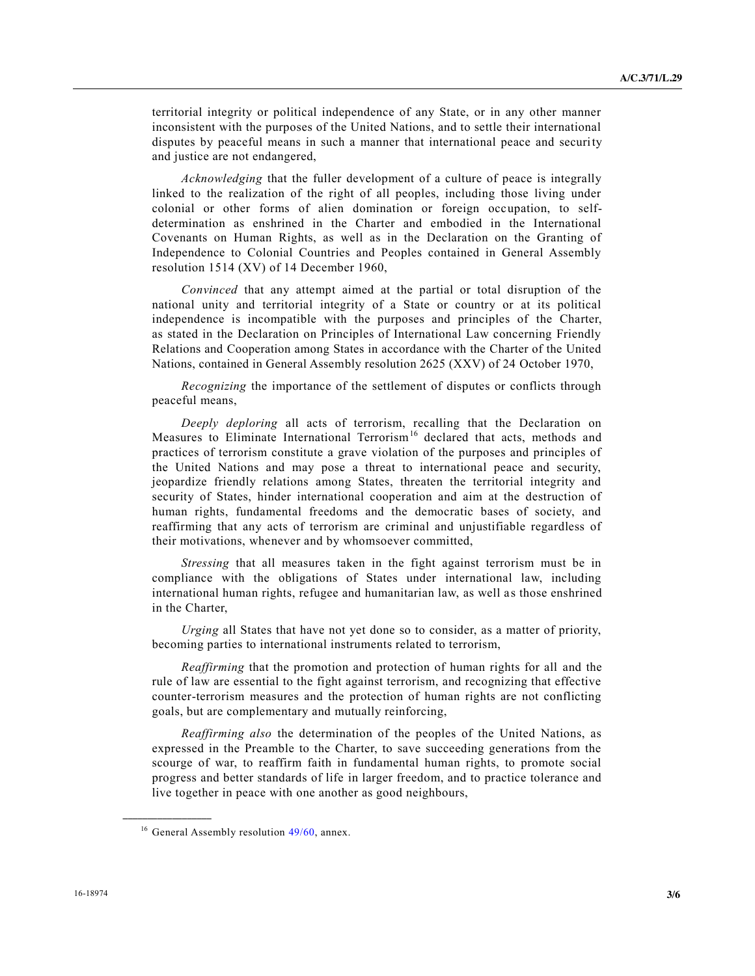territorial integrity or political independence of any State, or in any other manner inconsistent with the purposes of the United Nations, and to settle their international disputes by peaceful means in such a manner that international peace and security and justice are not endangered,

*Acknowledging* that the fuller development of a culture of peace is integrally linked to the realization of the right of all peoples, including those living under colonial or other forms of alien domination or foreign occupation, to selfdetermination as enshrined in the Charter and embodied in the International Covenants on Human Rights, as well as in the Declaration on the Granting of Independence to Colonial Countries and Peoples contained in General Assembly resolution 1514 (XV) of 14 December 1960,

*Convinced* that any attempt aimed at the partial or total disruption of the national unity and territorial integrity of a State or country or at its political independence is incompatible with the purposes and principles of the Charter, as stated in the Declaration on Principles of International Law concerning Friendly Relations and Cooperation among States in accordance with the Charter of the United Nations, contained in General Assembly resolution 2625 (XXV) of 24 October 1970,

*Recognizing* the importance of the settlement of disputes or conflicts through peaceful means,

*Deeply deploring* all acts of terrorism, recalling that the Declaration on Measures to Eliminate International Terrorism<sup>16</sup> declared that acts, methods and practices of terrorism constitute a grave violation of the purposes and principles of the United Nations and may pose a threat to international peace and security, jeopardize friendly relations among States, threaten the territorial integrity and security of States, hinder international cooperation and aim at the destruction of human rights, fundamental freedoms and the democratic bases of society, and reaffirming that any acts of terrorism are criminal and unjustifiable regardless of their motivations, whenever and by whomsoever committed,

*Stressing* that all measures taken in the fight against terrorism must be in compliance with the obligations of States under international law, including international human rights, refugee and humanitarian law, as well as those enshrined in the Charter,

*Urging* all States that have not yet done so to consider, as a matter of priority, becoming parties to international instruments related to terrorism,

*Reaffirming* that the promotion and protection of human rights for all and the rule of law are essential to the fight against terrorism, and recognizing that effective counter-terrorism measures and the protection of human rights are not conflicting goals, but are complementary and mutually reinforcing,

*Reaffirming also* the determination of the peoples of the United Nations, as expressed in the Preamble to the Charter, to save succeeding generations from the scourge of war, to reaffirm faith in fundamental human rights, to promote social progress and better standards of life in larger freedom, and to practice tolerance and live together in peace with one another as good neighbours,

<sup>&</sup>lt;sup>16</sup> General Assembly resolution  $49/60$ , annex.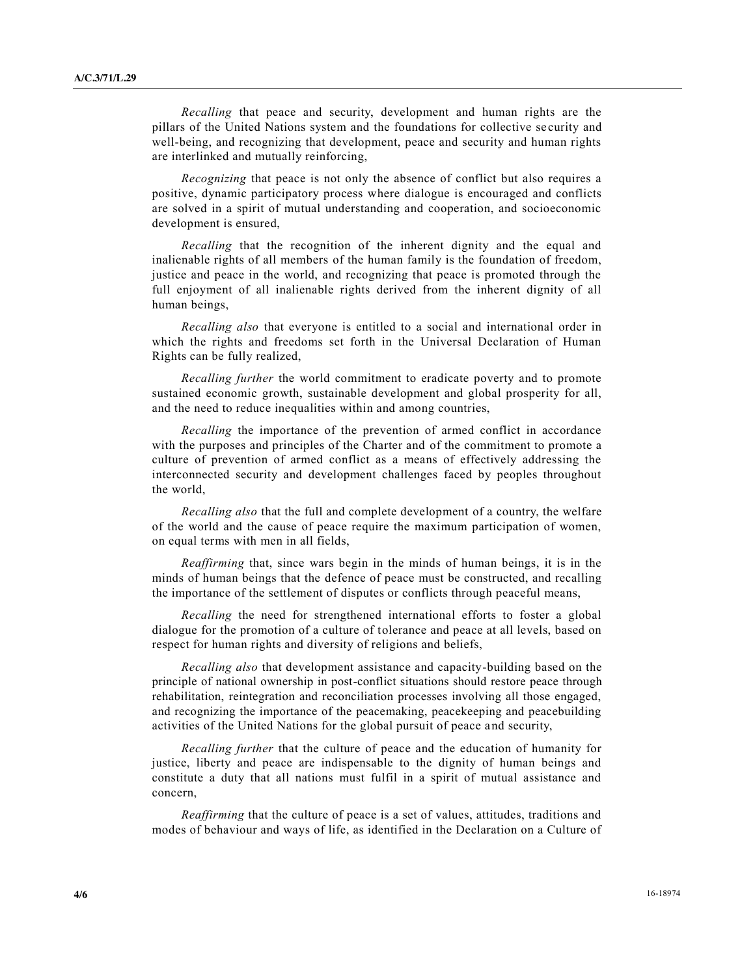*Recalling* that peace and security, development and human rights are the pillars of the United Nations system and the foundations for collective se curity and well-being, and recognizing that development, peace and security and human rights are interlinked and mutually reinforcing,

*Recognizing* that peace is not only the absence of conflict but also requires a positive, dynamic participatory process where dialogue is encouraged and conflicts are solved in a spirit of mutual understanding and cooperation, and socioeconomic development is ensured,

*Recalling* that the recognition of the inherent dignity and the equal and inalienable rights of all members of the human family is the foundation of freedom, justice and peace in the world, and recognizing that peace is promoted through the full enjoyment of all inalienable rights derived from the inherent dignity of all human beings,

*Recalling also* that everyone is entitled to a social and international order in which the rights and freedoms set forth in the Universal Declaration of Human Rights can be fully realized,

*Recalling further* the world commitment to eradicate poverty and to promote sustained economic growth, sustainable development and global prosperity for all, and the need to reduce inequalities within and among countries,

*Recalling* the importance of the prevention of armed conflict in accordance with the purposes and principles of the Charter and of the commitment to promote a culture of prevention of armed conflict as a means of effectively addressing the interconnected security and development challenges faced by peoples throughout the world,

*Recalling also* that the full and complete development of a country, the welfare of the world and the cause of peace require the maximum participation of women, on equal terms with men in all fields,

*Reaffirming* that, since wars begin in the minds of human beings, it is in the minds of human beings that the defence of peace must be constructed, and recalling the importance of the settlement of disputes or conflicts through peaceful means,

*Recalling* the need for strengthened international efforts to foster a global dialogue for the promotion of a culture of tolerance and peace at all levels, based on respect for human rights and diversity of religions and beliefs,

*Recalling also* that development assistance and capacity-building based on the principle of national ownership in post-conflict situations should restore peace through rehabilitation, reintegration and reconciliation processes involving all those engaged, and recognizing the importance of the peacemaking, peacekeeping and peacebuilding activities of the United Nations for the global pursuit of peace and security,

*Recalling further* that the culture of peace and the education of humanity for justice, liberty and peace are indispensable to the dignity of human beings and constitute a duty that all nations must fulfil in a spirit of mutual assistance and concern,

*Reaffirming* that the culture of peace is a set of values, attitudes, traditions and modes of behaviour and ways of life, as identified in the Declaration on a Culture of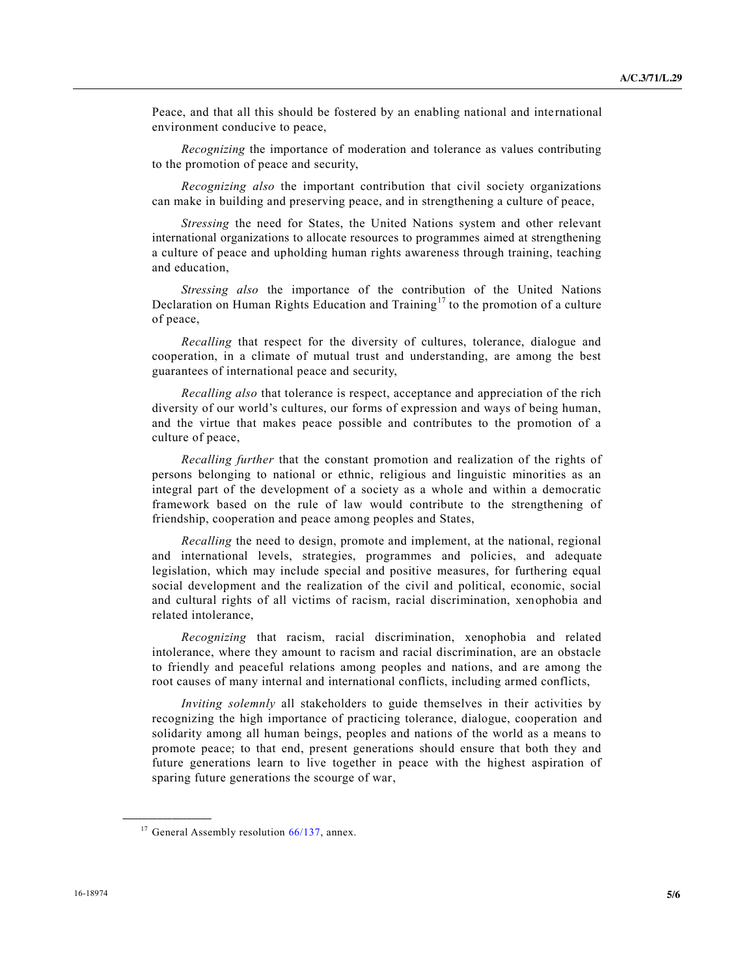Peace, and that all this should be fostered by an enabling national and inte rnational environment conducive to peace,

*Recognizing* the importance of moderation and tolerance as values contributing to the promotion of peace and security,

*Recognizing also* the important contribution that civil society organizations can make in building and preserving peace, and in strengthening a culture of peace,

*Stressing* the need for States, the United Nations system and other relevant international organizations to allocate resources to programmes aimed at strengthening a culture of peace and upholding human rights awareness through training, teaching and education,

*Stressing also* the importance of the contribution of the United Nations Declaration on Human Rights Education and Training<sup>17</sup> to the promotion of a culture of peace,

*Recalling* that respect for the diversity of cultures, tolerance, dialogue and cooperation, in a climate of mutual trust and understanding, are among the best guarantees of international peace and security,

*Recalling also* that tolerance is respect, acceptance and appreciation of the rich diversity of our world's cultures, our forms of expression and ways of being human, and the virtue that makes peace possible and contributes to the promotion of a culture of peace,

*Recalling further* that the constant promotion and realization of the rights of persons belonging to national or ethnic, religious and linguistic minorities as an integral part of the development of a society as a whole and within a democratic framework based on the rule of law would contribute to the strengthening of friendship, cooperation and peace among peoples and States,

*Recalling* the need to design, promote and implement, at the national, regional and international levels, strategies, programmes and policies, and adequate legislation, which may include special and positive measures, for furthering equal social development and the realization of the civil and political, economic, social and cultural rights of all victims of racism, racial discrimination, xenophobia and related intolerance,

*Recognizing* that racism, racial discrimination, xenophobia and related intolerance, where they amount to racism and racial discrimination, are an obstacle to friendly and peaceful relations among peoples and nations, and are among the root causes of many internal and international conflicts, including armed conflicts,

*Inviting solemnly* all stakeholders to guide themselves in their activities by recognizing the high importance of practicing tolerance, dialogue, cooperation and solidarity among all human beings, peoples and nations of the world as a means to promote peace; to that end, present generations should ensure that both they and future generations learn to live together in peace with the highest aspiration of sparing future generations the scourge of war,

<sup>&</sup>lt;sup>17</sup> General Assembly resolution [66/137,](http://undocs.org/A/RES/66/137) annex.